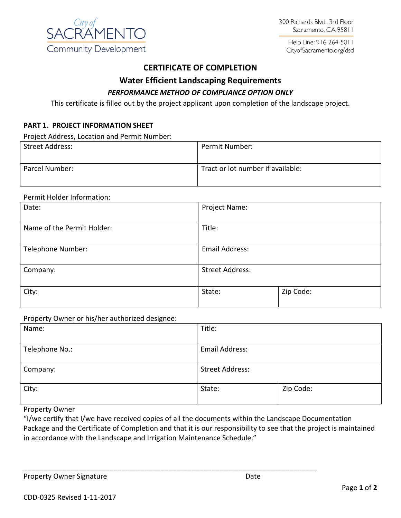

Help Line: 916-264-5011 CityofSacramento.org/dsd

# **CERTIFICATE OF COMPLETION**

## **Water Efficient Landscaping Requirements**

## *PERFORMANCE METHOD OF COMPLIANCE OPTION ONLY*

This certificate is filled out by the project applicant upon completion of the landscape project.

## **PART 1. PROJECT INFORMATION SHEET**

Project Address, Location and Permit Number:

| <b>Street Address:</b> | Permit Number:                    |
|------------------------|-----------------------------------|
| Parcel Number:         | Tract or lot number if available: |

#### Permit Holder Information:

| Date:                      | Project Name:          |           |  |
|----------------------------|------------------------|-----------|--|
| Name of the Permit Holder: | Title:                 |           |  |
| Telephone Number:          | Email Address:         |           |  |
| Company:                   | <b>Street Address:</b> |           |  |
| City:                      | State:                 | Zip Code: |  |

Property Owner or his/her authorized designee:

| . .<br>ັ       |                        |           |  |
|----------------|------------------------|-----------|--|
| Name:          | Title:                 |           |  |
|                |                        |           |  |
| Telephone No.: | Email Address:         |           |  |
| Company:       | <b>Street Address:</b> |           |  |
| City:          | State:                 | Zip Code: |  |

## Property Owner

"I/we certify that I/we have received copies of all the documents within the Landscape Documentation Package and the Certificate of Completion and that it is our responsibility to see that the project is maintained in accordance with the Landscape and Irrigation Maintenance Schedule."

\_\_\_\_\_\_\_\_\_\_\_\_\_\_\_\_\_\_\_\_\_\_\_\_\_\_\_\_\_\_\_\_\_\_\_\_\_\_\_\_\_\_\_\_\_\_\_\_\_\_\_\_\_\_\_\_\_\_\_\_\_\_\_\_\_\_\_\_\_\_\_\_\_\_\_